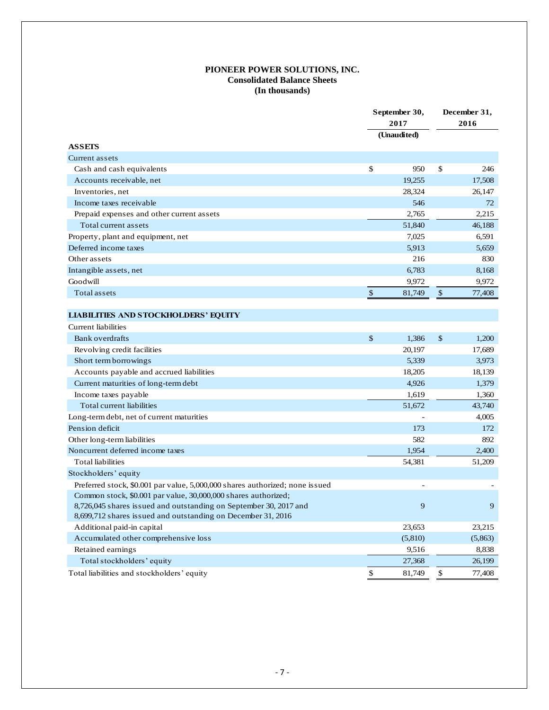## **PIONEER POWER SOLUTIONS, INC. Consolidated Balance Sheets (In thousands)**

|                                                                              | September 30,<br>2017 |             | December 31,<br>2016 |         |
|------------------------------------------------------------------------------|-----------------------|-------------|----------------------|---------|
|                                                                              |                       |             |                      |         |
|                                                                              |                       | (Unaudited) |                      |         |
| <b>ASSETS</b>                                                                |                       |             |                      |         |
| Current assets                                                               |                       |             |                      |         |
| Cash and cash equivalents                                                    | \$                    | 950         | \$                   | 246     |
| Accounts receivable, net                                                     |                       | 19,255      |                      | 17.508  |
| Inventories, net                                                             |                       | 28,324      |                      | 26,147  |
| Income taxes receivable                                                      |                       | 546         |                      | 72      |
| Prepaid expenses and other current assets                                    |                       | 2,765       |                      | 2,215   |
| Total current assets                                                         |                       | 51,840      |                      | 46,188  |
| Property, plant and equipment, net                                           |                       | 7.025       |                      | 6.591   |
| Deferred income taxes                                                        |                       | 5,913       |                      | 5,659   |
| Other assets                                                                 |                       | 216         |                      | 830     |
| Intangible assets, net                                                       |                       | 6,783       |                      | 8,168   |
| Goodwill                                                                     |                       | 9,972       |                      | 9.972   |
| Total assets                                                                 | $\mathbb{S}$          | 81,749      | $\mathbb{S}$         | 77,408  |
|                                                                              |                       |             |                      |         |
| <b>LIABILITIES AND STOCKHOLDERS' EQUITY</b>                                  |                       |             |                      |         |
| <b>Current</b> liabilities                                                   |                       |             |                      |         |
| <b>Bank overdrafts</b>                                                       | \$                    | 1,386       | \$                   | 1,200   |
| Revolving credit facilities                                                  |                       | 20,197      |                      | 17,689  |
| Short term borrowings                                                        |                       | 5,339       |                      | 3,973   |
| Accounts payable and accrued liabilities                                     |                       | 18,205      |                      | 18,139  |
| Current maturities of long-term debt                                         |                       | 4,926       |                      | 1,379   |
| Income taxes payable                                                         |                       | 1,619       |                      | 1,360   |
| Total current liabilities                                                    |                       | 51,672      |                      | 43,740  |
| Long-term debt, net of current maturities                                    |                       |             |                      | 4,005   |
| Pension deficit                                                              |                       | 173         |                      | 172     |
| Other long-term liabilities                                                  |                       | 582         |                      | 892     |
| Noncurrent deferred income taxes                                             |                       | 1,954       |                      | 2,400   |
| <b>Total liabilities</b>                                                     |                       | 54,381      |                      | 51,209  |
| Stockholders' equity                                                         |                       |             |                      |         |
| Preferred stock, \$0.001 par value, 5,000,000 shares authorized; none issued |                       |             |                      |         |
| Common stock, \$0.001 par value, 30,000,000 shares authorized;               |                       |             |                      |         |
| 8,726,045 shares issued and outstanding on September 30, 2017 and            |                       | 9           |                      | 9       |
| 8,699,712 shares issued and outstanding on December 31, 2016                 |                       |             |                      |         |
| Additional paid-in capital                                                   |                       | 23,653      |                      | 23,215  |
| Accumulated other comprehensive loss                                         |                       | (5,810)     |                      | (5,863) |
| Retained earnings                                                            |                       | 9,516       |                      | 8,838   |
| Total stockholders' equity                                                   |                       | 27,368      |                      | 26,199  |
| Total liabilities and stockholders' equity                                   | \$                    | 81,749      | \$                   | 77.408  |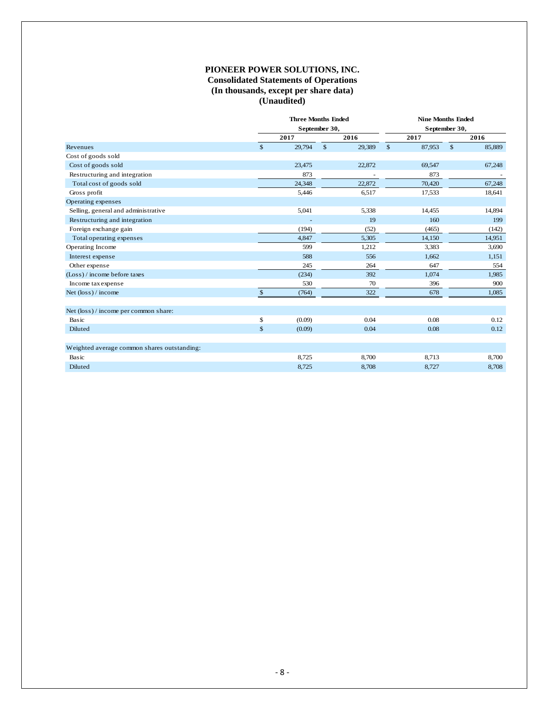## **PIONEER POWER SOLUTIONS, INC. Consolidated Statements of Operations (In thousands, except per share data) (Unaudited)**

|                                             | <b>Three Months Ended</b> | September 30, |        |              | <b>Nine Months Ended</b><br>September 30, |        |
|---------------------------------------------|---------------------------|---------------|--------|--------------|-------------------------------------------|--------|
|                                             | 2017                      |               | 2016   | 2017         |                                           | 2016   |
| Revenues                                    | \$<br>29,794              | \$            | 29,389 | \$<br>87,953 | $\mathbb{S}$                              | 85,889 |
| Cost of goods sold                          |                           |               |        |              |                                           |        |
| Cost of goods sold                          | 23,475                    |               | 22,872 | 69,547       |                                           | 67,248 |
| Restructuring and integration               | 873                       |               |        | 873          |                                           |        |
| Total cost of goods sold                    | 24,348                    |               | 22,872 | 70,420       |                                           | 67,248 |
| Gross profit                                | 5,446                     |               | 6,517  | 17,533       |                                           | 18,641 |
| Operating expenses                          |                           |               |        |              |                                           |        |
| Selling, general and administrative         | 5,041                     |               | 5,338  | 14,455       |                                           | 14,894 |
| Restructuring and integration               |                           |               | 19     | 160          |                                           | 199    |
| Foreign exchange gain                       | (194)                     |               | (52)   | (465)        |                                           | (142)  |
| Total operating expenses                    | 4,847                     |               | 5,305  | 14,150       |                                           | 14,951 |
| Operating Income                            | 599                       |               | 1,212  | 3,383        |                                           | 3,690  |
| Interest expense                            | 588                       |               | 556    | 1,662        |                                           | 1,151  |
| Other expense                               | 245                       |               | 264    | 647          |                                           | 554    |
| (Loss) / income before taxes                | (234)                     |               | 392    | 1,074        |                                           | 1,985  |
| Income tax expense                          | 530                       |               | 70     | 396          |                                           | 900    |
| Net $(\text{loss})$ / income                | \$<br>(764)               |               | 322    | 678          |                                           | 1,085  |
| Net (loss) / income per common share:       |                           |               |        |              |                                           |        |
| Basic                                       | \$<br>(0.09)              |               | 0.04   | 0.08         |                                           | 0.12   |
| Diluted                                     | \$<br>(0.09)              |               | 0.04   | 0.08         |                                           | 0.12   |
| Weighted average common shares outstanding: |                           |               |        |              |                                           |        |
| Basic                                       | 8,725                     |               | 8,700  | 8.713        |                                           | 8,700  |
| Diluted                                     | 8,725                     |               | 8,708  | 8,727        |                                           | 8,708  |
|                                             |                           |               |        |              |                                           |        |